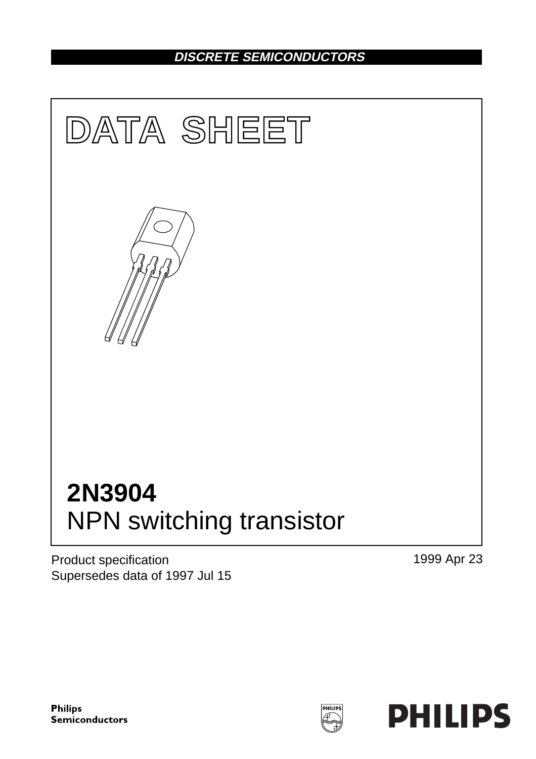# **DISCRETE SEMICONDUCTORS**



Product specification Supersedes data of 1997 Jul 15 1999 Apr 23

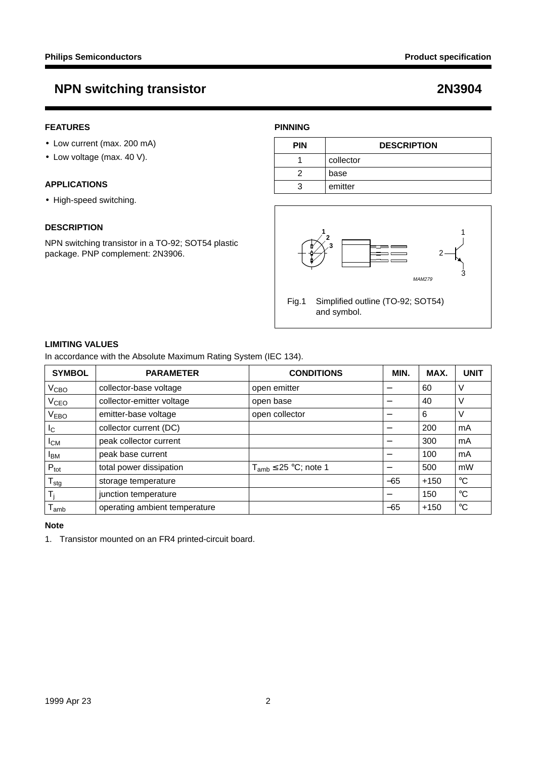#### **FEATURES**

- Low current (max. 200 mA)
- Low voltage (max. 40 V).

#### **APPLICATIONS**

• High-speed switching.

#### **DESCRIPTION**

NPN switching transistor in a TO-92; SOT54 plastic package. PNP complement: 2N3906.

### **PINNING**

| <b>PIN</b> | <b>DESCRIPTION</b> |
|------------|--------------------|
|            | collector          |
|            | base               |
|            | emitter            |



#### **LIMITING VALUES**

In accordance with the Absolute Maximum Rating System (IEC 134).

| <b>SYMBOL</b>             | <b>PARAMETER</b>              | <b>CONDITIONS</b>            | MIN.                     | MAX.   | <b>UNIT</b> |
|---------------------------|-------------------------------|------------------------------|--------------------------|--------|-------------|
| $V_{\text{CBO}}$          | collector-base voltage        | open emitter                 |                          | 60     | V           |
| V <sub>CEO</sub>          | collector-emitter voltage     | open base                    |                          | 40     | V           |
| V <sub>EBO</sub>          | emitter-base voltage          | open collector               |                          | 6      | V           |
| I <sub>C</sub>            | collector current (DC)        |                              |                          | 200    | mA          |
| Iсм                       | peak collector current        |                              |                          | 300    | mA          |
| <b>IBM</b>                | peak base current             |                              | $\overline{\phantom{0}}$ | 100    | mA          |
| $P_{\text{tot}}$          | total power dissipation       | $T_{amb} \leq 25$ °C; note 1 |                          | 500    | mW          |
| $\mathsf{T}_{\text{stg}}$ | storage temperature           |                              | $-65$                    | $+150$ | $^{\circ}C$ |
| T,                        | junction temperature          |                              |                          | 150    | $^{\circ}C$ |
| l amb                     | operating ambient temperature |                              | $-65$                    | $+150$ | $^{\circ}C$ |

#### **Note**

1. Transistor mounted on an FR4 printed-circuit board.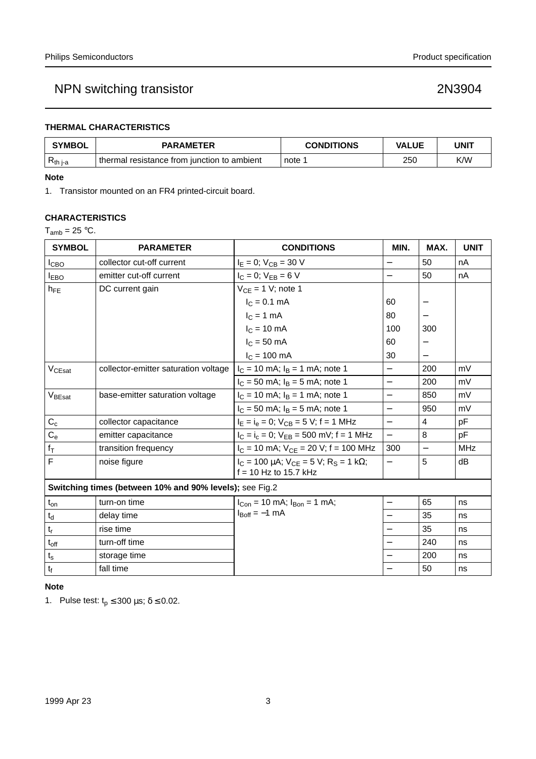### **THERMAL CHARACTERISTICS**

| <b>SYMBOL</b> | <b>PARAMETER</b>                              | <b>CONDITIONS</b> | VALUE | UNIT |
|---------------|-----------------------------------------------|-------------------|-------|------|
| $R_{th i-a}$  | thermal resistance from junction to ambient ' | note              | 250   | K/W  |

#### **Note**

1. Transistor mounted on an FR4 printed-circuit board.

#### **CHARACTERISTICS**

 $T_{amb} = 25 °C$ .

| <b>SYMBOL</b>                                           | <b>PARAMETER</b>                     | <b>CONDITIONS</b>                                                                   | MIN.                     | MAX.                     | <b>UNIT</b> |
|---------------------------------------------------------|--------------------------------------|-------------------------------------------------------------------------------------|--------------------------|--------------------------|-------------|
| I <sub>СВО</sub>                                        | collector cut-off current            | $I_E = 0$ ; $V_{CB} = 30$ V                                                         |                          | 50                       | nA          |
| <b>IEBO</b>                                             | emitter cut-off current              | $I_C = 0$ ; $V_{EB} = 6 V$                                                          | $\overline{\phantom{0}}$ | 50                       | nA          |
| $h_{FE}$                                                | DC current gain                      | $V_{CE} = 1 V$ ; note 1                                                             |                          |                          |             |
|                                                         |                                      | $I_C = 0.1$ mA                                                                      | 60                       |                          |             |
|                                                         |                                      | $I_C = 1$ mA                                                                        | 80                       |                          |             |
|                                                         |                                      | $IC = 10 mA$                                                                        | 100                      | 300                      |             |
|                                                         |                                      | $IC = 50$ mA                                                                        | 60                       |                          |             |
|                                                         |                                      | $I_C = 100$ mA                                                                      | 30                       |                          |             |
| V <sub>CEsat</sub>                                      | collector-emitter saturation voltage | $I_C = 10$ mA; $I_B = 1$ mA; note 1                                                 |                          | 200                      | mV          |
|                                                         |                                      | $I_C = 50$ mA; $I_B = 5$ mA; note 1                                                 |                          | 200                      | mV          |
| V <sub>BEsat</sub>                                      | base-emitter saturation voltage      | $I_C = 10$ mA; $I_B = 1$ mA; note 1                                                 | $\equiv$                 | 850                      | mV          |
|                                                         |                                      | $I_C = 50$ mA; $I_B = 5$ mA; note 1                                                 | $\overline{\phantom{0}}$ | 950                      | mV          |
| $C_c$                                                   | collector capacitance                | $I_E = I_e = 0$ ; $V_{CB} = 5$ V; f = 1 MHz                                         | $\equiv$                 | 4                        | pF          |
| $C_{e}$                                                 | emitter capacitance                  | $I_C = I_c = 0$ ; $V_{EB} = 500$ mV; f = 1 MHz                                      | $\overline{\phantom{0}}$ | 8                        | pF          |
| $f_T$                                                   | transition frequency                 | $I_C = 10$ mA; $V_{CE} = 20$ V; f = 100 MHz                                         | 300                      | $\overline{\phantom{0}}$ | <b>MHz</b>  |
| F                                                       | noise figure                         | $I_C = 100 \mu A$ ; $V_{CE} = 5 V$ ; $R_S = 1 k\Omega$ ;<br>$f = 10$ Hz to 15.7 kHz |                          | 5                        | dB          |
| Switching times (between 10% and 90% levels); see Fig.2 |                                      |                                                                                     |                          |                          |             |
| $t_{on}$                                                | turn-on time                         | $I_{Con}$ = 10 mA; $I_{Bon}$ = 1 mA;                                                | $\overline{\phantom{0}}$ | 65                       | ns          |
| $t_d$                                                   | delay time                           | $I_{\text{Boff}} = -1$ mA                                                           |                          | 35                       | ns          |
| $t_r$                                                   | rise time                            |                                                                                     |                          | 35                       | ns          |
| $t_{off}$                                               | turn-off time                        |                                                                                     |                          | 240                      | ns          |
| $t_{\rm s}$                                             | storage time                         |                                                                                     |                          | 200                      | ns          |
| $t_f$                                                   | fall time                            |                                                                                     |                          | 50                       | ns          |

### **Note**

1. Pulse test:  $t_p \le 300 \,\mu s$ ;  $\delta \le 0.02$ .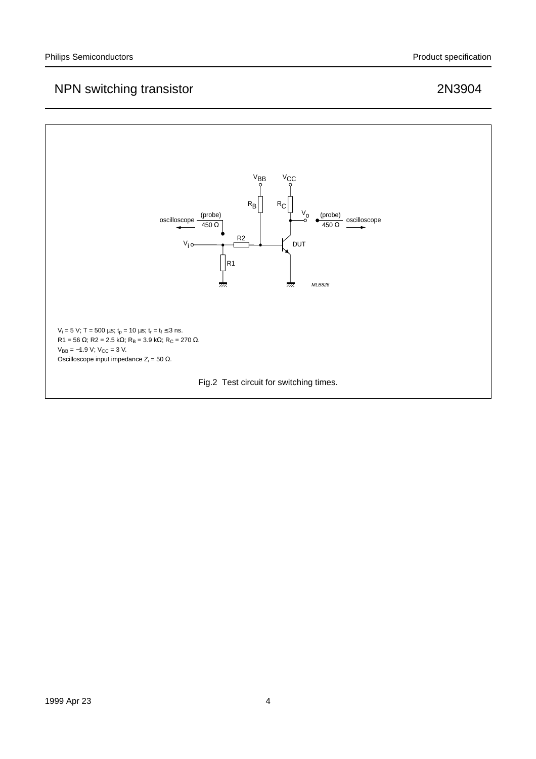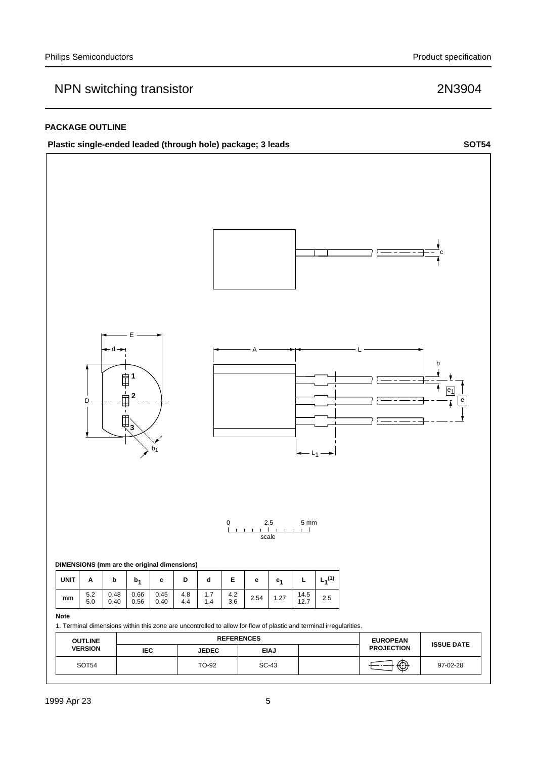#### **PACKAGE OUTLINE**



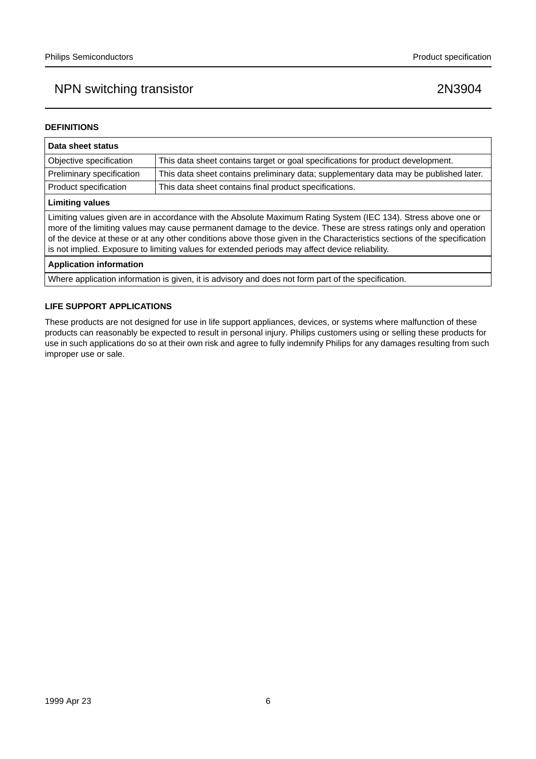#### **DEFINITIONS**

| Data sheet status                                                                                                                                                                                                                                                                                                                                                                                                                                                  |                                                                                       |  |  |
|--------------------------------------------------------------------------------------------------------------------------------------------------------------------------------------------------------------------------------------------------------------------------------------------------------------------------------------------------------------------------------------------------------------------------------------------------------------------|---------------------------------------------------------------------------------------|--|--|
| Objective specification                                                                                                                                                                                                                                                                                                                                                                                                                                            | This data sheet contains target or goal specifications for product development.       |  |  |
| Preliminary specification                                                                                                                                                                                                                                                                                                                                                                                                                                          | This data sheet contains preliminary data; supplementary data may be published later. |  |  |
| Product specification                                                                                                                                                                                                                                                                                                                                                                                                                                              | This data sheet contains final product specifications.                                |  |  |
| <b>Limiting values</b>                                                                                                                                                                                                                                                                                                                                                                                                                                             |                                                                                       |  |  |
| Limiting values given are in accordance with the Absolute Maximum Rating System (IEC 134). Stress above one or<br>more of the limiting values may cause permanent damage to the device. These are stress ratings only and operation<br>of the device at these or at any other conditions above those given in the Characteristics sections of the specification<br>is not implied. Exposure to limiting values for extended periods may affect device reliability. |                                                                                       |  |  |
| <b>Application information</b>                                                                                                                                                                                                                                                                                                                                                                                                                                     |                                                                                       |  |  |
|                                                                                                                                                                                                                                                                                                                                                                                                                                                                    |                                                                                       |  |  |

Where application information is given, it is advisory and does not form part of the specification.

#### **LIFE SUPPORT APPLICATIONS**

These products are not designed for use in life support appliances, devices, or systems where malfunction of these products can reasonably be expected to result in personal injury. Philips customers using or selling these products for use in such applications do so at their own risk and agree to fully indemnify Philips for any damages resulting from such improper use or sale.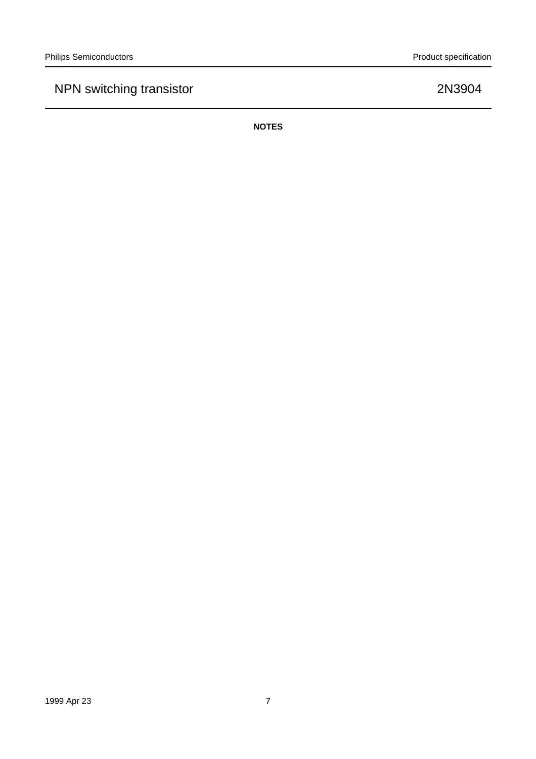**NOTES**